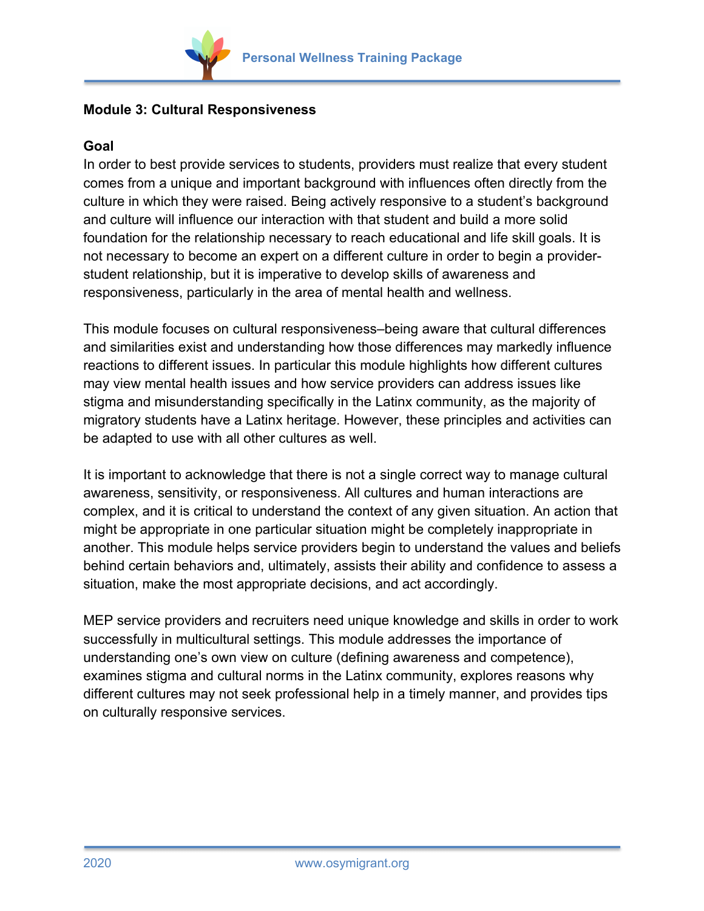

## **Module 3: Cultural Responsiveness**

## **Goal**

In order to best provide services to students, providers must realize that every student comes from a unique and important background with influences often directly from the culture in which they were raised. Being actively responsive to a student's background and culture will influence our interaction with that student and build a more solid foundation for the relationship necessary to reach educational and life skill goals. It is not necessary to become an expert on a different culture in order to begin a providerstudent relationship, but it is imperative to develop skills of awareness and responsiveness, particularly in the area of mental health and wellness.

This module focuses on cultural responsiveness–being aware that cultural differences and similarities exist and understanding how those differences may markedly influence reactions to different issues. In particular this module highlights how different cultures may view mental health issues and how service providers can address issues like stigma and misunderstanding specifically in the Latinx community, as the majority of migratory students have a Latinx heritage. However, these principles and activities can be adapted to use with all other cultures as well.

It is important to acknowledge that there is not a single correct way to manage cultural awareness, sensitivity, or responsiveness. All cultures and human interactions are complex, and it is critical to understand the context of any given situation. An action that might be appropriate in one particular situation might be completely inappropriate in another. This module helps service providers begin to understand the values and beliefs behind certain behaviors and, ultimately, assists their ability and confidence to assess a situation, make the most appropriate decisions, and act accordingly.

MEP service providers and recruiters need unique knowledge and skills in order to work successfully in multicultural settings. This module addresses the importance of understanding one's own view on culture (defining awareness and competence), examines stigma and cultural norms in the Latinx community, explores reasons why different cultures may not seek professional help in a timely manner, and provides tips on culturally responsive services.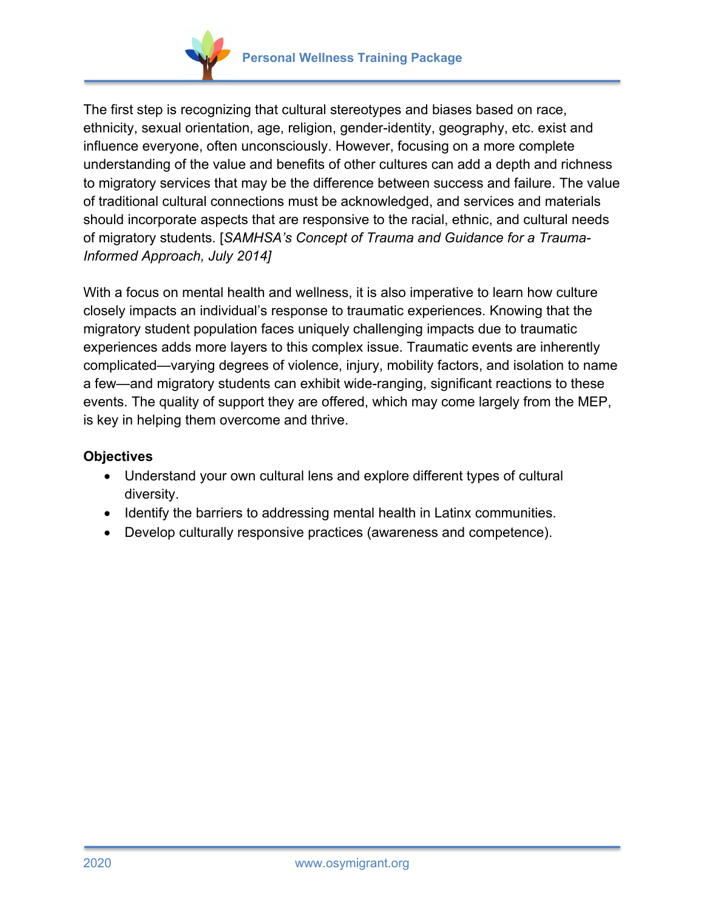



The first step is recognizing that cultural stereotypes and biases based on race, ethnicity, sexual orientation, age, religion, gender-identity, geography, etc. exist and influence everyone, often unconsciously. However, focusing on a more complete understanding of the value and benefits of other cultures can add a depth and richness to migratory services that may be the difference between success and failure. The value of traditional cultural connections must be acknowledged, and services and materials should incorporate aspects that are responsive to the racial, ethnic, and cultural needs of migratory students. [*SAMHSA's Concept of Trauma and Guidance for a Trauma-Informed Approach, July 2014]*

With a focus on mental health and wellness, it is also imperative to learn how culture closely impacts an individual's response to traumatic experiences. Knowing that the migratory student population faces uniquely challenging impacts due to traumatic experiences adds more layers to this complex issue. Traumatic events are inherently complicated—varying degrees of violence, injury, mobility factors, and isolation to name a few—and migratory students can exhibit wide-ranging, significant reactions to these events. The quality of support they are offered, which may come largely from the MEP, is key in helping them overcome and thrive.

## **Objectives**

- Understand your own cultural lens and explore different types of cultural diversity.
- Identify the barriers to addressing mental health in Latinx communities.
- Develop culturally responsive practices (awareness and competence).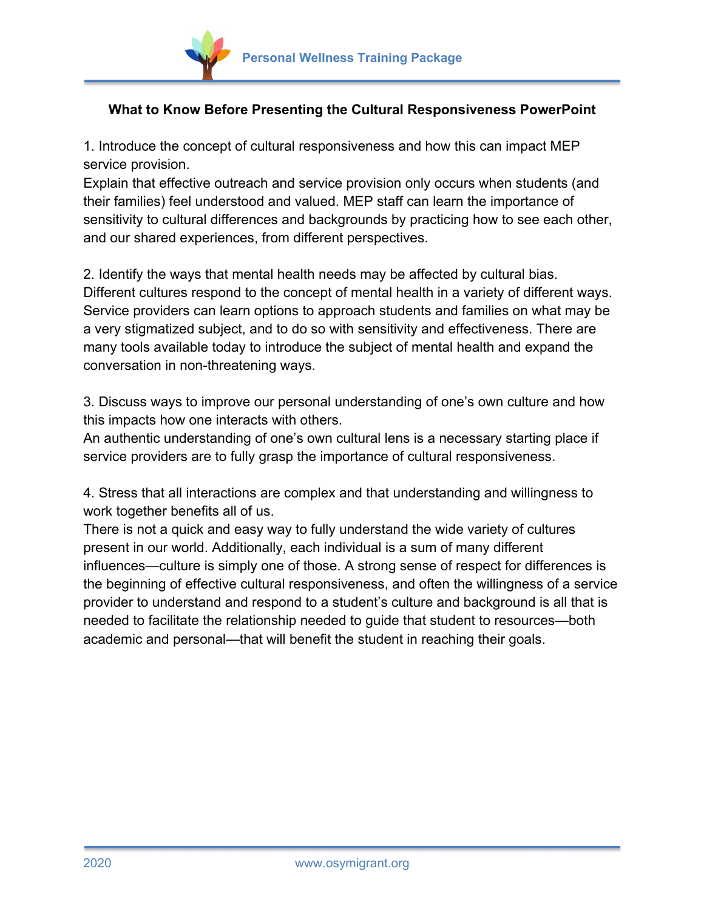

## **What to Know Before Presenting the Cultural Responsiveness PowerPoint**

1. Introduce the concept of cultural responsiveness and how this can impact MEP service provision.

Explain that effective outreach and service provision only occurs when students (and their families) feel understood and valued. MEP staff can learn the importance of sensitivity to cultural differences and backgrounds by practicing how to see each other, and our shared experiences, from different perspectives.

2. Identify the ways that mental health needs may be affected by cultural bias. Different cultures respond to the concept of mental health in a variety of different ways. Service providers can learn options to approach students and families on what may be a very stigmatized subject, and to do so with sensitivity and effectiveness. There are many tools available today to introduce the subject of mental health and expand the conversation in non-threatening ways.

3. Discuss ways to improve our personal understanding of one's own culture and how this impacts how one interacts with others.

An authentic understanding of one's own cultural lens is a necessary starting place if service providers are to fully grasp the importance of cultural responsiveness.

4. Stress that all interactions are complex and that understanding and willingness to work together benefits all of us.

There is not a quick and easy way to fully understand the wide variety of cultures present in our world. Additionally, each individual is a sum of many different influences—culture is simply one of those. A strong sense of respect for differences is the beginning of effective cultural responsiveness, and often the willingness of a service provider to understand and respond to a student's culture and background is all that is needed to facilitate the relationship needed to guide that student to resources—both academic and personal—that will benefit the student in reaching their goals.